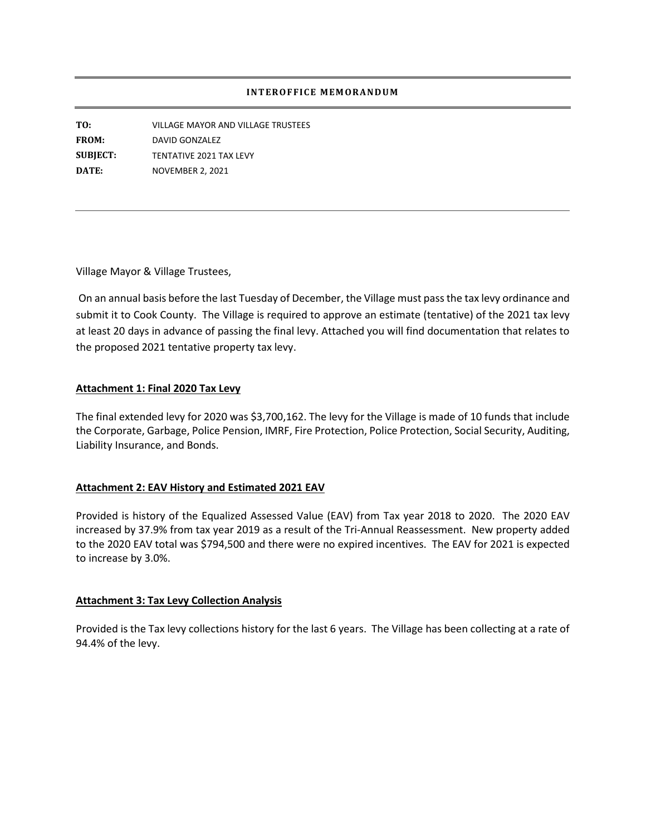## **INTEROFFICE MEMORANDUM**

**TO:** VILLAGE MAYOR AND VILLAGE TRUSTEES **FROM:** DAVID GONZALEZ **SUBJECT:** TENTATIVE 2021 TAX LEVY **DATE:** NOVEMBER 2, 2021

Village Mayor & Village Trustees,

On an annual basis before the last Tuesday of December, the Village must pass the tax levy ordinance and submit it to Cook County. The Village is required to approve an estimate (tentative) of the 2021 tax levy at least 20 days in advance of passing the final levy. Attached you will find documentation that relates to the proposed 2021 tentative property tax levy.

## **Attachment 1: Final 2020 Tax Levy**

The final extended levy for 2020 was \$3,700,162. The levy for the Village is made of 10 funds that include the Corporate, Garbage, Police Pension, IMRF, Fire Protection, Police Protection, Social Security, Auditing, Liability Insurance, and Bonds.

## **Attachment 2: EAV History and Estimated 2021 EAV**

Provided is history of the Equalized Assessed Value (EAV) from Tax year 2018 to 2020. The 2020 EAV increased by 37.9% from tax year 2019 as a result of the Tri-Annual Reassessment. New property added to the 2020 EAV total was \$794,500 and there were no expired incentives. The EAV for 2021 is expected to increase by 3.0%.

## **Attachment 3: Tax Levy Collection Analysis**

Provided is the Tax levy collections history for the last 6 years. The Village has been collecting at a rate of 94.4% of the levy.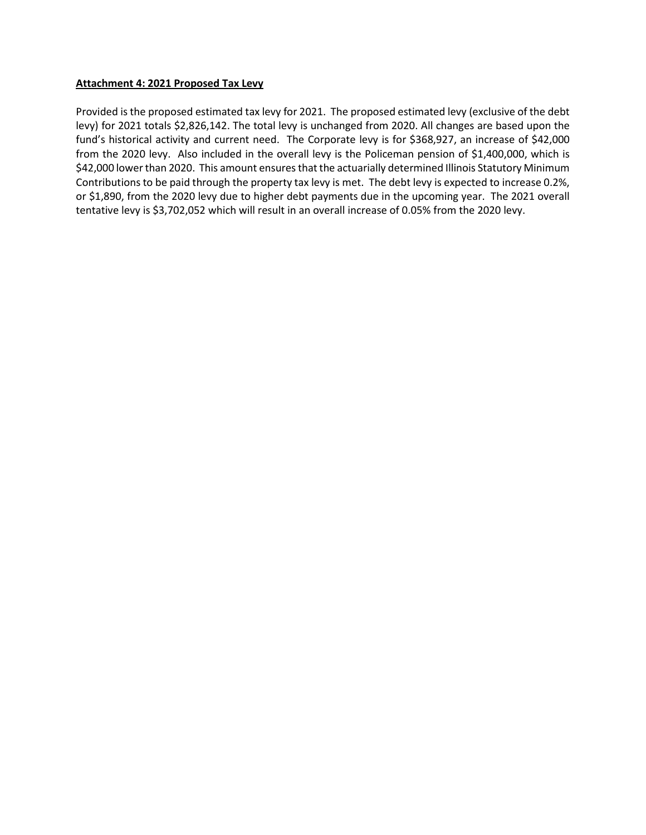## **Attachment 4: 2021 Proposed Tax Levy**

Provided is the proposed estimated tax levy for 2021. The proposed estimated levy (exclusive of the debt levy) for 2021 totals \$2,826,142. The total levy is unchanged from 2020. All changes are based upon the fund's historical activity and current need. The Corporate levy is for \$368,927, an increase of \$42,000 from the 2020 levy. Also included in the overall levy is the Policeman pension of \$1,400,000, which is \$42,000 lower than 2020. This amount ensures that the actuarially determined Illinois Statutory Minimum Contributions to be paid through the property tax levy is met. The debt levy is expected to increase 0.2%, or \$1,890, from the 2020 levy due to higher debt payments due in the upcoming year. The 2021 overall tentative levy is \$3,702,052 which will result in an overall increase of 0.05% from the 2020 levy.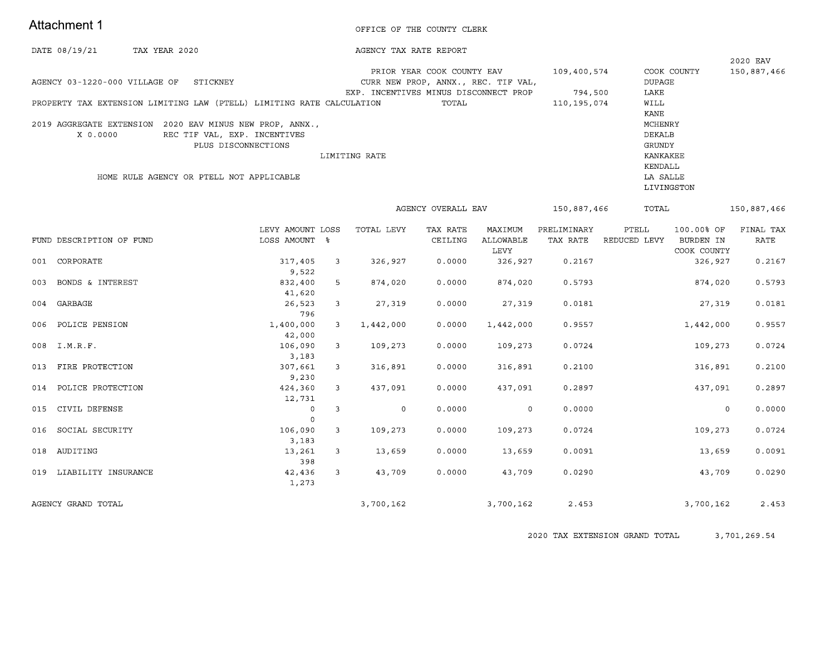## Attachment 1

#### OFFICE OF THE COUNTY CLERK

| DATE 08/19/21 | TAX YEAR 2020 | AGENCY TAX RATE REPORT |
|---------------|---------------|------------------------|

|                                                                       |               |                                       |             |             | 2020 EAV    |
|-----------------------------------------------------------------------|---------------|---------------------------------------|-------------|-------------|-------------|
|                                                                       |               | PRIOR YEAR COOK COUNTY EAV            | 109,400,574 | COOK COUNTY | 150,887,466 |
| AGENCY 03-1220-000 VILLAGE OF<br>STICKNEY                             |               | CURR NEW PROP, ANNX., REC. TIF VAL,   |             | DUPAGE      |             |
|                                                                       |               | EXP. INCENTIVES MINUS DISCONNECT PROP | 794.500     | LAKE        |             |
| PROPERTY TAX EXTENSION LIMITING LAW (PTELL) LIMITING RATE CALCULATION |               | TOTAL                                 | 110,195,074 | WILL        |             |
|                                                                       |               |                                       |             | KANE        |             |
| 2019 AGGREGATE EXTENSION<br>2020 EAV MINUS NEW PROP, ANNX.,           |               |                                       |             | MCHENRY     |             |
| REC TIF VAL, EXP. INCENTIVES<br>X 0.0000                              |               |                                       |             | DEKALB      |             |
| PLUS DISCONNECTIONS                                                   |               |                                       |             | GRUNDY      |             |
|                                                                       | LIMITING RATE |                                       |             | KANKAKEE    |             |
|                                                                       |               |                                       |             | KENDALL     |             |
| HOME RULE AGENCY OR PTELL NOT APPLICABLE                              |               |                                       |             | LA SALLE    |             |
|                                                                       |               |                                       |             | LIVINGSTON  |             |

AGENCY OVERALL EAV 150,887,466 TOTAL 150,887,466 100.00% OF FINAL TAX LEVY AMOUNT LOSS TOTAL LEVY TAX RATE MAXIMUM PRELIMINARY PTELL FUND DESCRIPTION OF FUND LOSS AMOUNT % CEILING ALLOWABLE TAX RATE REDUCED LEVY BURDEN IN RATE LEVY COOK COUNTY 001 CORPORATE 317,405 326,927  $0.0000$ 326,927 0.2167 326,927 0.2167  $\overline{\mathbf{3}}$ 9,522 003 BONDS & INTEREST 832,400  $5 -$ 874,020  $0.0000$ 874,020 0.5793 874,020 0.5793 41,620 004 GARBAGE 26,523  $3<sup>7</sup>$ 27,319  $0.0000$ 27,319  $0.0181$ 27,319  $0.0181$ 796 POLICE PENSION 1,400,000 1,442,000  $0.0000$ 1,442,000 0.9557 1,442,000 0.9557 006  $\overline{\mathbf{3}}$ 42,000 008  $I.M.R.F.$ 106,090 109,273  $0.0000$  $0.0724$ 109,273  $0.0724$  $\overline{\mathbf{3}}$ 109,273 3,183 013 FIRE PROTECTION 307,661  $3<sup>7</sup>$ 316,891  $0.0000$ 316,891  $0.2100$ 316,891  $0.2100$  $9,230$ POLICE PROTECTION 424,360 437,091  $0.0000$ 437,091 0.2897 437,091 0.2897 014  $\overline{\mathbf{3}}$ 12,731 015 CIVIL DEFENSE  $\overline{0}$  $\overline{3}$  $\sim$  0  $0.0000$  $\overline{0}$  $0.0000$  $\circ$  $0.0000$  $\overline{0}$ 016 SOCIAL SECURITY 106,090  $\overline{3}$ 109,273  $0.0000$ 109,273  $0.0724$ 109,273  $0.0724$ 3,183 AUDITING 13,261  $0.0000$  $0.0091$ 018  $3<sup>7</sup>$ 13,659 13,659 13,659  $0.0091$ 398 019 LIABILITY INSURANCE 42,436  $\overline{\mathbf{3}}$ 43,709  $0.0000$ 43,709  $0.0290$ 43,709  $0.0290$ 1,273 AGENCY GRAND TOTAL 3,700,162 3,700,162 2.453 3,700,162 2.453

2020 TAX EXTENSION GRAND TOTAL 3,701,269.54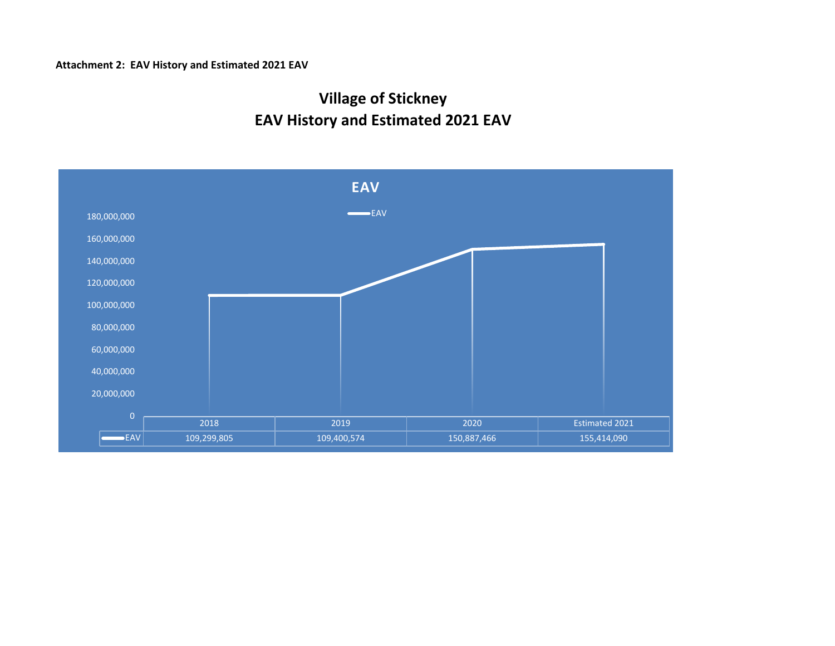# **Attachment 2: EAV History and Estimated 2021 EAV**

# **EAV History and Estimated 2021 EAV Village of Stickney**

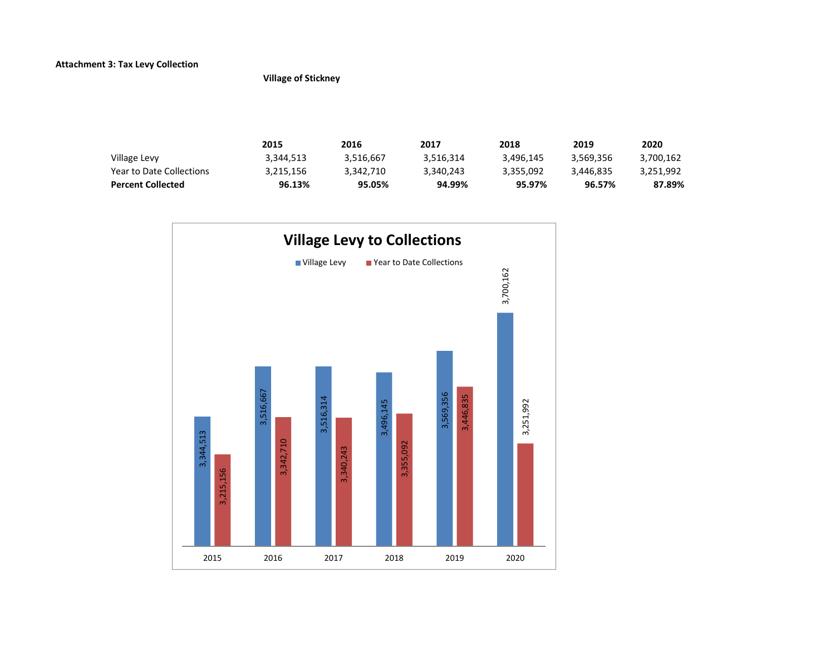# **Attachment 3: Tax Levy Collection**

**Village of Stickney**

|                          | 2015      | 2016      | 2017      | 2018      | 2019      | 2020      |
|--------------------------|-----------|-----------|-----------|-----------|-----------|-----------|
| Village Levy             | 3,344,513 | 3.516.667 | 3.516.314 | 3.496.145 | 3.569.356 | 3.700.162 |
| Year to Date Collections | 3.215.156 | 3.342.710 | 3.340.243 | 3.355.092 | 3.446.835 | 3.251.992 |
| <b>Percent Collected</b> | 96.13%    | 95.05%    | 94.99%    | 95.97%    | 96.57%    | 87.89%    |